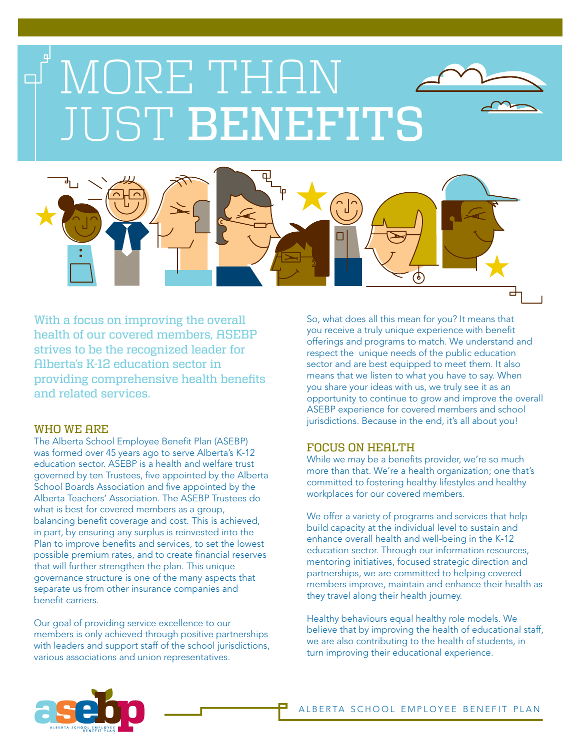# MORE THAN لە JUST BENEFITS



With a focus on improving the overall health of our covered members, ASEBP strives to be the recognized leader for Alberta's K-12 education sector in providing comprehensive health benefits and related services.

### WHO WE ARE

The Alberta School Employee Benefit Plan (ASEBP) was formed over 45 years ago to serve Alberta's K-12 education sector. ASEBP is a health and welfare trust governed by ten Trustees, five appointed by the Alberta School Boards Association and five appointed by the Alberta Teachers' Association. The ASEBP Trustees do what is best for covered members as a group, balancing benefit coverage and cost. This is achieved, in part, by ensuring any surplus is reinvested into the Plan to improve benefits and services, to set the lowest possible premium rates, and to create financial reserves that will further strengthen the plan. This unique governance structure is one of the many aspects that separate us from other insurance companies and benefit carriers.

Our goal of providing service excellence to our members is only achieved through positive partnerships with leaders and support staff of the school jurisdictions, various associations and union representatives.

So, what does all this mean for you? It means that you receive a truly unique experience with benefit offerings and programs to match. We understand and respect the unique needs of the public education sector and are best equipped to meet them. It also means that we listen to what you have to say. When you share your ideas with us, we truly see it as an opportunity to continue to grow and improve the overall ASEBP experience for covered members and school jurisdictions. Because in the end, it's all about you!

# FOCUS ON HEALTH

While we may be a benefits provider, we're so much more than that. We're a health organization; one that's committed to fostering healthy lifestyles and healthy workplaces for our covered members.

We offer a variety of programs and services that help build capacity at the individual level to sustain and enhance overall health and well-being in the K-12 education sector. Through our information resources, mentoring initiatives, focused strategic direction and partnerships, we are committed to helping covered members improve, maintain and enhance their health as they travel along their health journey.

Healthy behaviours equal healthy role models. We believe that by improving the health of educational staff, we are also contributing to the health of students, in turn improving their educational experience.

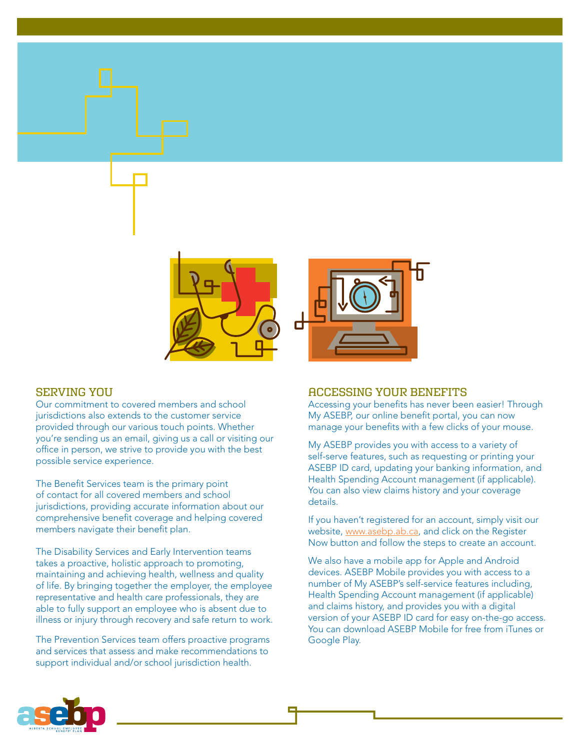

# SERVING YOU

Our commitment to covered members and school jurisdictions also extends to the customer service provided through our various touch points. Whether you're sending us an email, giving us a call or visiting our office in person, we strive to provide you with the best possible service experience.

The Benefit Services team is the primary point of contact for all covered members and school jurisdictions, providing accurate information about our comprehensive benefit coverage and helping covered members navigate their benefit plan.

The Disability Services and Early Intervention teams takes a proactive, holistic approach to promoting, maintaining and achieving health, wellness and quality of life. By bringing together the employer, the employee representative and health care professionals, they are able to fully support an employee who is absent due to illness or injury through recovery and safe return to work.

The Prevention Services team offers proactive programs and services that assess and make recommendations to support individual and/or school jurisdiction health.

### ACCESSING YOUR BENEFITS

Accessing your benefits has never been easier! Through My ASEBP, our online benefit portal, you can now manage your benefits with a few clicks of your mouse.

My ASEBP provides you with access to a variety of self-serve features, such as requesting or printing your ASEBP ID card, updating your banking information, and Health Spending Account management (if applicable). You can also view claims history and your coverage details.

If you haven't registered for an account, simply visit our website, [www.asebp.ab.ca,](www.asebp.ab.ca) and click on the Register Now button and follow the steps to create an account.

We also have a mobile app for Apple and Android devices. ASEBP Mobile provides you with access to a number of My ASEBP's self-service features including, Health Spending Account management (if applicable) and claims history, and provides you with a digital version of your ASEBP ID card for easy on-the-go access. You can download ASEBP Mobile for free from iTunes or Google Play.

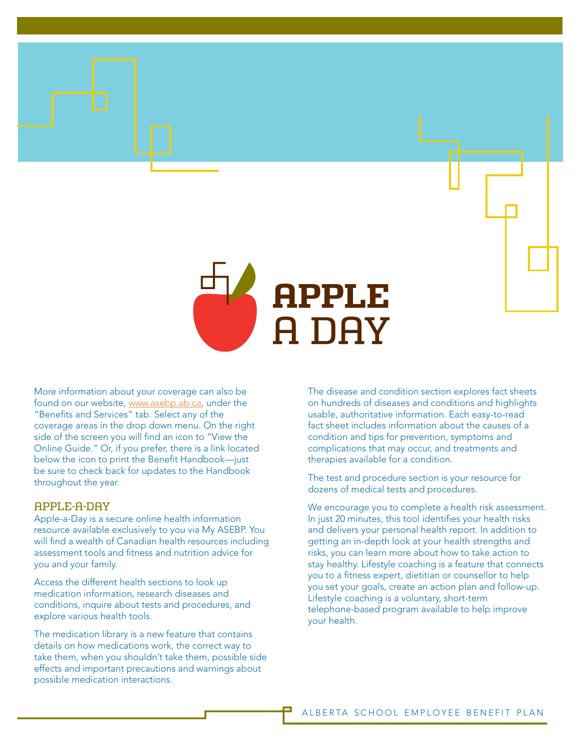

More information about your coverage can also be found on our website, [www.asebp.ab.ca,](www.asebp.ab.ca) under the "Benefits and Services" tab. Select any of the coverage areas in the drop down menu. On the right side of the screen you will find an icon to "View the Online Guide." Or, if you prefer, there is a link located below the icon to print the Benefit Handbook—just be sure to check back for updates to the Handbook throughout the year.

## APPLE-A-DAY

Apple-a-Day is a secure online health information resource available exclusively to you via My ASEBP. You will find a wealth of Canadian health resources including assessment tools and fitness and nutrition advice for you and your family.

Access the different health sections to look up medication information, research diseases and conditions, inquire about tests and procedures, and explore various health tools.

The medication library is a new feature that contains details on how medications work, the correct way to take them, when you shouldn't take them, possible side effects and important precautions and warnings about possible medication interactions.

The disease and condition section explores fact sheets on hundreds of diseases and conditions and highlights usable, authoritative information. Each easy-to-read fact sheet includes information about the causes of a condition and tips for prevention, symptoms and complications that may occur, and treatments and therapies available for a condition.

The test and procedure section is your resource for dozens of medical tests and procedures.

We encourage you to complete a health risk assessment. In just 20 minutes, this tool identifies your health risks and delivers your personal health report. In addition to getting an in-depth look at your health strengths and risks, you can learn more about how to take action to stay healthy. Lifestyle coaching is a feature that connects you to a fitness expert, dietitian or counsellor to help you set your goals, create an action plan and follow-up. Lifestyle coaching is a voluntary, short-term telephone-based program available to help improve your health.